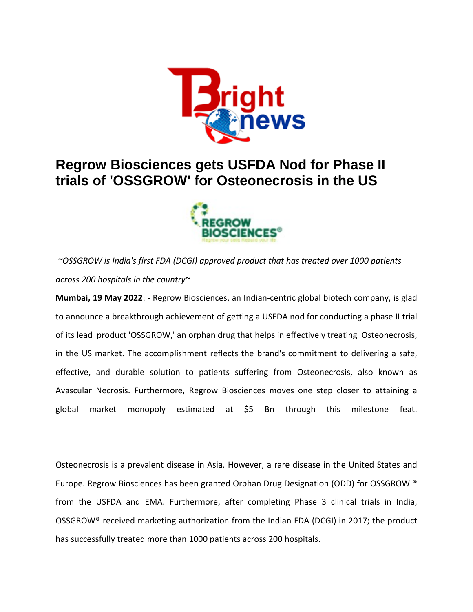

## **Regrow Biosciences gets USFDA Nod for Phase II trials of 'OSSGROW' for Osteonecrosis in the US**



*~OSSGROW is India's first FDA (DCGI) approved product that has treated over 1000 patients across 200 hospitals in the country~*

**Mumbai, 19 May 2022**: - Regrow Biosciences, an Indian-centric global biotech company, is glad to announce a breakthrough achievement of getting a USFDA nod for conducting a phase II trial of its lead product 'OSSGROW,' an orphan drug that helps in effectively treating Osteonecrosis, in the US market. The accomplishment reflects the brand's commitment to delivering a safe, effective, and durable solution to patients suffering from Osteonecrosis, also known as Avascular Necrosis. Furthermore, Regrow Biosciences moves one step closer to attaining a global market monopoly estimated at \$5 Bn through this milestone feat.

Osteonecrosis is a prevalent disease in Asia. However, a rare disease in the United States and Europe. Regrow Biosciences has been granted Orphan Drug Designation (ODD) for OSSGROW ® from the USFDA and EMA. Furthermore, after completing Phase 3 clinical trials in India, OSSGROW® received marketing authorization from the Indian FDA (DCGI) in 2017; the product has successfully treated more than 1000 patients across 200 hospitals.